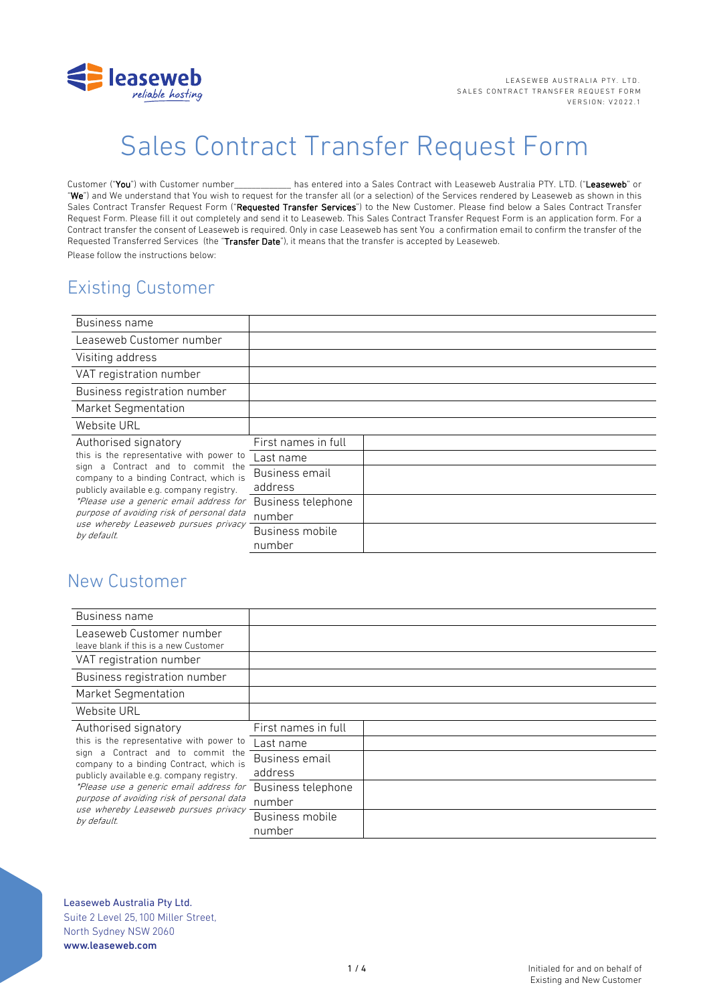

# Sales Contract Transfer Request Form

Customer ("You") with Customer number has entered into a Sales Contract with Leaseweb Australia PTY. LTD. ("Leaseweb" or "We") and We understand that You wish to request for the transfer all (or a selection) of the Services rendered by Leaseweb as shown in this Sales Contract Transfer Request Form ("Requested Transfer Services") to the New Customer. Please find below a Sales Contract Transfer Request Form. Please fill it out completely and send it to Leaseweb. This Sales Contract Transfer Request Form is an application form. For a Contract transfer the consent of Leaseweb is required. Only in case Leaseweb has sent You a confirmation email to confirm the transfer of the Requested Transferred Services (the "Transfer Date"), it means that the transfer is accepted by Leaseweb. Please follow the instructions below:

# Existing Customer

| Business name                                                                                                                                                                                                                                                                                                                                |                     |  |
|----------------------------------------------------------------------------------------------------------------------------------------------------------------------------------------------------------------------------------------------------------------------------------------------------------------------------------------------|---------------------|--|
| Leaseweb Customer number                                                                                                                                                                                                                                                                                                                     |                     |  |
| Visiting address                                                                                                                                                                                                                                                                                                                             |                     |  |
| VAT registration number                                                                                                                                                                                                                                                                                                                      |                     |  |
| Business registration number                                                                                                                                                                                                                                                                                                                 |                     |  |
| Market Segmentation                                                                                                                                                                                                                                                                                                                          |                     |  |
| Website URL                                                                                                                                                                                                                                                                                                                                  |                     |  |
| Authorised signatory<br>this is the representative with power to<br>sign a Contract and to commit the<br>company to a binding Contract, which is<br>publicly available e.g. company registry.<br>*Please use a generic email address for<br>purpose of avoiding risk of personal data<br>use whereby Leaseweb pursues privacy<br>by default. | First names in full |  |
|                                                                                                                                                                                                                                                                                                                                              | Last name           |  |
|                                                                                                                                                                                                                                                                                                                                              | Business email      |  |
|                                                                                                                                                                                                                                                                                                                                              | address             |  |
|                                                                                                                                                                                                                                                                                                                                              | Business telephone  |  |
|                                                                                                                                                                                                                                                                                                                                              | number              |  |
|                                                                                                                                                                                                                                                                                                                                              | Business mobile     |  |
|                                                                                                                                                                                                                                                                                                                                              | number              |  |

## New Customer

| Business name                                                                                                                                                                                                                                                                                                                                |                     |  |
|----------------------------------------------------------------------------------------------------------------------------------------------------------------------------------------------------------------------------------------------------------------------------------------------------------------------------------------------|---------------------|--|
| Leaseweb Customer number<br>leave blank if this is a new Customer                                                                                                                                                                                                                                                                            |                     |  |
| VAT registration number                                                                                                                                                                                                                                                                                                                      |                     |  |
| Business registration number                                                                                                                                                                                                                                                                                                                 |                     |  |
| Market Segmentation                                                                                                                                                                                                                                                                                                                          |                     |  |
| Website URL                                                                                                                                                                                                                                                                                                                                  |                     |  |
| Authorised signatory<br>this is the representative with power to<br>sign a Contract and to commit the<br>company to a binding Contract, which is<br>publicly available e.g. company registry.<br>*Please use a generic email address for<br>purpose of avoiding risk of personal data<br>use whereby Leaseweb pursues privacy<br>by default. | First names in full |  |
|                                                                                                                                                                                                                                                                                                                                              | Last name           |  |
|                                                                                                                                                                                                                                                                                                                                              | Business email      |  |
|                                                                                                                                                                                                                                                                                                                                              | address             |  |
|                                                                                                                                                                                                                                                                                                                                              | Business telephone  |  |
|                                                                                                                                                                                                                                                                                                                                              | number              |  |
|                                                                                                                                                                                                                                                                                                                                              | Business mobile     |  |
|                                                                                                                                                                                                                                                                                                                                              | number              |  |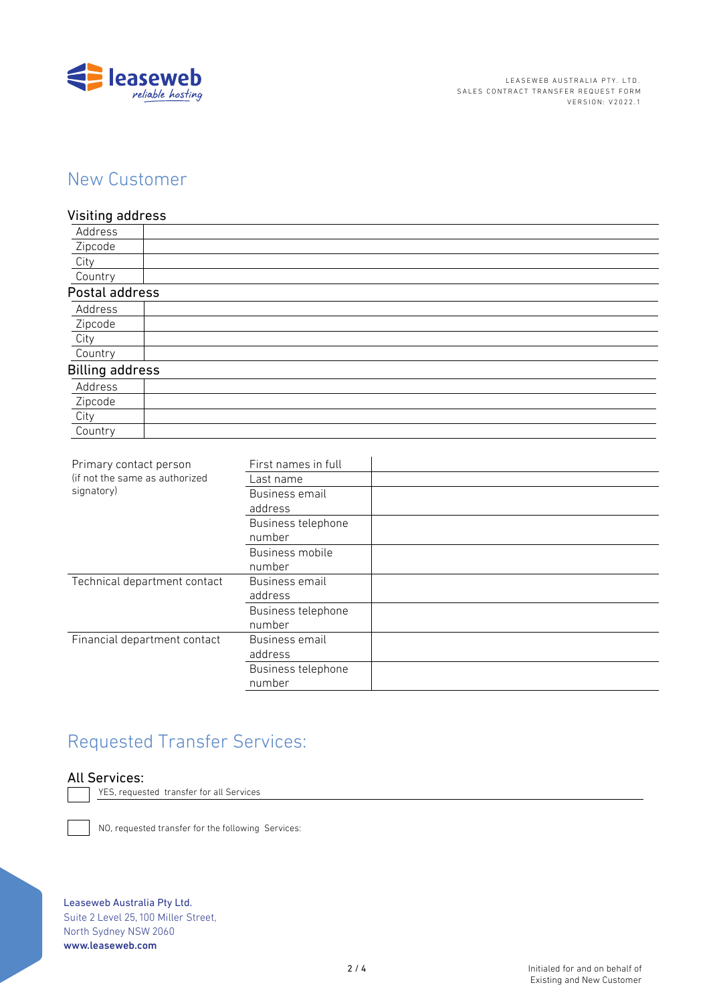

# New Customer

### Visiting address

| Address                |  |
|------------------------|--|
| Zipcode                |  |
| City                   |  |
| Country                |  |
| Postal address         |  |
| Address                |  |
| Zipcode                |  |
| City                   |  |
| Country                |  |
| <b>Billing address</b> |  |
| Address                |  |
| Zipcode                |  |
| City                   |  |
| Country                |  |

| (if not the same as authorized<br>Last name<br>signatory)<br>Business email<br>address<br>Business telephone<br>number<br>Business mobile<br>number<br>Technical department contact<br>Business email<br>address<br>Business telephone<br>number<br>Financial department contact<br>Business email<br>address<br>Business telephone<br>number | Primary contact person | First names in full |  |
|-----------------------------------------------------------------------------------------------------------------------------------------------------------------------------------------------------------------------------------------------------------------------------------------------------------------------------------------------|------------------------|---------------------|--|
|                                                                                                                                                                                                                                                                                                                                               |                        |                     |  |
|                                                                                                                                                                                                                                                                                                                                               |                        |                     |  |
|                                                                                                                                                                                                                                                                                                                                               |                        |                     |  |
|                                                                                                                                                                                                                                                                                                                                               |                        |                     |  |
|                                                                                                                                                                                                                                                                                                                                               |                        |                     |  |
|                                                                                                                                                                                                                                                                                                                                               |                        |                     |  |
|                                                                                                                                                                                                                                                                                                                                               |                        |                     |  |
|                                                                                                                                                                                                                                                                                                                                               |                        |                     |  |
|                                                                                                                                                                                                                                                                                                                                               |                        |                     |  |
|                                                                                                                                                                                                                                                                                                                                               |                        |                     |  |
|                                                                                                                                                                                                                                                                                                                                               |                        |                     |  |
|                                                                                                                                                                                                                                                                                                                                               |                        |                     |  |
|                                                                                                                                                                                                                                                                                                                                               |                        |                     |  |
|                                                                                                                                                                                                                                                                                                                                               |                        |                     |  |
|                                                                                                                                                                                                                                                                                                                                               |                        |                     |  |

# Requested Transfer Services:

### All Services:

YES, requested transfer for all Services

NO, requested transfer for the following Services:

Leaseweb Australia Pty Ltd. Suite 2 Level 25, 100 Miller Street, North Sydney NSW 2060 www.leaseweb.com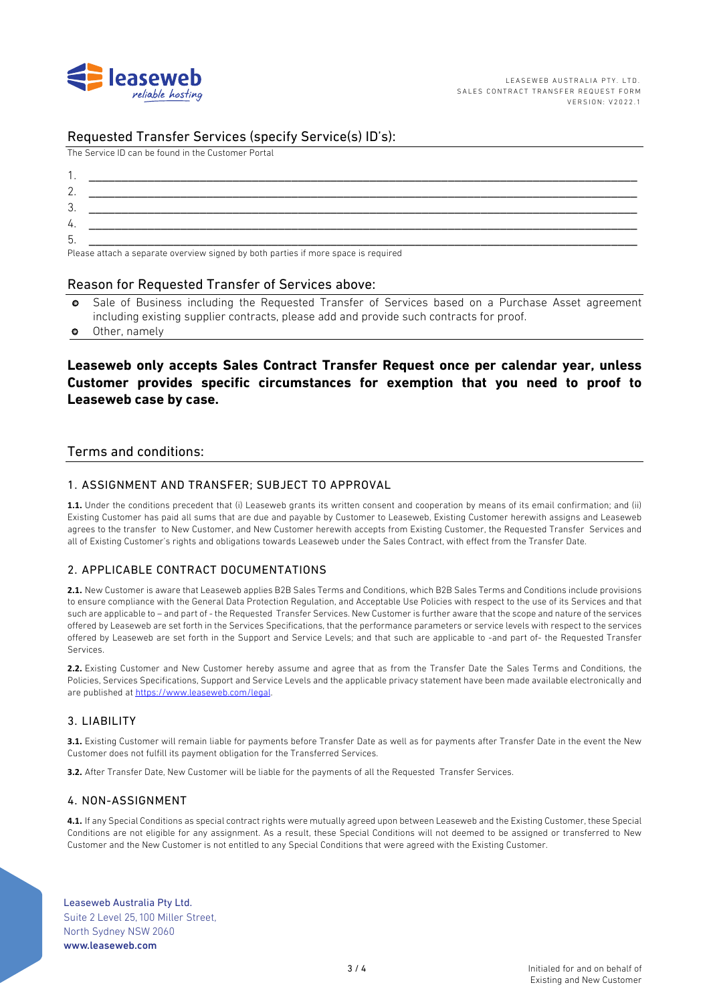

### Requested Transfer Services (specify Service(s) ID's):

The Service ID can be found in the Customer Portal

| ◠<br>. ت |                                                                                                                                                                                                                                      |
|----------|--------------------------------------------------------------------------------------------------------------------------------------------------------------------------------------------------------------------------------------|
| 4.       |                                                                                                                                                                                                                                      |
| . ხ.     |                                                                                                                                                                                                                                      |
|          | <b>PLANT AND REPORT OF A STATE AND REPORT OF A STATE OF A STATE AND REPORT OF A STATE OF A STATE OF A STATE OF A STATE OF A STATE OF A STATE OF A STATE OF A STATE OF A STATE OF A STATE OF A STATE OF A STATE OF A STATE OF A S</b> |

Please attach a separate overview signed by both parties if more space is required

#### Reason for Requested Transfer of Services above:

- o Sale of Business including the Requested Transfer of Services based on a Purchase Asset agreement including existing supplier contracts, please add and provide such contracts for proof.
- o Other, namely

### **Leaseweb only accepts Sales Contract Transfer Request once per calendar year, unless Customer provides specific circumstances for exemption that you need to proof to Leaseweb case by case.**

#### Terms and conditions:

#### 1. ASSIGNMENT AND TRANSFER; SUBJECT TO APPROVAL

**1.1.** Under the conditions precedent that (i) Leaseweb grants its written consent and cooperation by means of its email confirmation; and (ii) Existing Customer has paid all sums that are due and payable by Customer to Leaseweb, Existing Customer herewith assigns and Leaseweb agrees to the transfer to New Customer, and New Customer herewith accepts from Existing Customer, the Requested Transfer Services and all of Existing Customer's rights and obligations towards Leaseweb under the Sales Contract, with effect from the Transfer Date.

#### 2. APPLICABLE CONTRACT DOCUMENTATIONS

**2.1.** New Customer is aware that Leaseweb applies B2B Sales Terms and Conditions, which B2B Sales Terms and Conditions include provisions to ensure compliance with the General Data Protection Regulation, and Acceptable Use Policies with respect to the use of its Services and that such are applicable to – and part of - the Requested Transfer Services. New Customer is further aware that the scope and nature of the services offered by Leaseweb are set forth in the Services Specifications, that the performance parameters or service levels with respect to the services offered by Leaseweb are set forth in the Support and Service Levels; and that such are applicable to -and part of- the Requested Transfer Services.

**2.2.** Existing Customer and New Customer hereby assume and agree that as from the Transfer Date the Sales Terms and Conditions, the Policies, Services Specifications, Support and Service Levels and the applicable privacy statement have been made available electronically and are published at https://www.leaseweb.com/legal.

#### 3. LIABILITY

**3.1.** Existing Customer will remain liable for payments before Transfer Date as well as for payments after Transfer Date in the event the New Customer does not fulfill its payment obligation for the Transferred Services.

**3.2.** After Transfer Date, New Customer will be liable for the payments of all the Requested Transfer Services.

#### 4. NON-ASSIGNMENT

**4.1.** If any Special Conditions as special contract rights were mutually agreed upon between Leaseweb and the Existing Customer, these Special Conditions are not eligible for any assignment. As a result, these Special Conditions will not deemed to be assigned or transferred to New Customer and the New Customer is not entitled to any Special Conditions that were agreed with the Existing Customer.